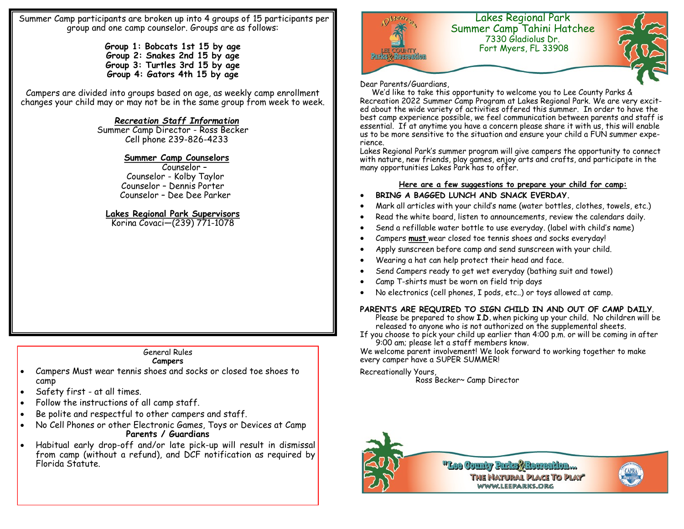Summer Camp participants are broken up into 4 groups of 15 participants per group and one camp counselor. Groups are as follows:

> **Group 1: Bobcats 1st 15 by age Group 2: Snakes 2nd 15 by age Group 3: Turtles 3rd 15 by age Group 4: Gators 4th 15 by age**

Campers are divided into groups based on age, as weekly camp enrollment changes your child may or may not be in the same group from week to week.

# *Recreation Staff Information*

Summer Camp Director - Ross Becker Cell phone 239-826-4233

### **Summer Camp Counselors**

 Counselor – Counselor - Kolby Taylor Counselor – Dennis Porter Counselor – Dee Dee Parker

# **Lakes Regional Park Supervisors**

Korina Covaci—(239) 771-1078

# General Rules

#### **Campers**

- Campers Must wear tennis shoes and socks or closed toe shoes to camp
- Safety first at all times.
- Follow the instructions of all camp staff.
- Be polite and respectful to other campers and staff.
- No Cell Phones or other Electronic Games, Toys or Devices at Camp **Parents / Guardians**
- Habitual early drop-off and/or late pick-up will result in dismissal from camp (without a refund), and DCF notification as required by Florida Statute.



#### Dear Parents/Guardians,

 We'd like to take this opportunity to welcome you to Lee County Parks & Recreation 2022 Summer Camp Program at Lakes Regional Park. We are very excited about the wide variety of activities offered this summer. In order to have the best camp experience possible, we feel communication between parents and staff is essential. If at anytime you have a concern please share it with us, this will enable us to be more sensitive to the situation and ensure your child a FUN summer experience.

Lakes Regional Park's summer program will give campers the opportunity to connect with nature, new friends, play games, enjoy arts and crafts, and participate in the many opportunities Lakes Park has to offer.

### **Here are a few suggestions to prepare your child for camp:**

- **BRING A BAGGED LUNCH AND SNACK EVERDAY.**
- Mark all articles with your child's name (water bottles, clothes, towels, etc.)
- Read the white board, listen to announcements, review the calendars daily.
- Send a refillable water bottle to use everyday. (label with child's name)
- Campers **must** wear closed toe tennis shoes and socks everyday!
- Apply sunscreen before camp and send sunscreen with your child.
- Wearing a hat can help protect their head and face.
- Send Campers ready to get wet everyday (bathing suit and towel)
- Camp T-shirts must be worn on field trip days
- No electronics (cell phones, I pods, etc..) or toys allowed at camp.

# **PARENTS ARE REQUIRED TO SIGN CHILD IN AND OUT OF CAMP DAILY**.

Please be prepared to show **I.D.** when picking up your child. No children will be released to anyone who is not authorized on the supplemental sheets.

If you choose to pick your child up earlier than 4:00 p.m. or will be coming in after 9:00 am; please let a staff members know.

We welcome parent involvement! We look forward to working together to make every camper have a SUPER SUMMER!

Recreationally Yours,

Ross Becker~ Camp Director



"Lee County Parks Akers **WWW.LEEPARKS.ORG**